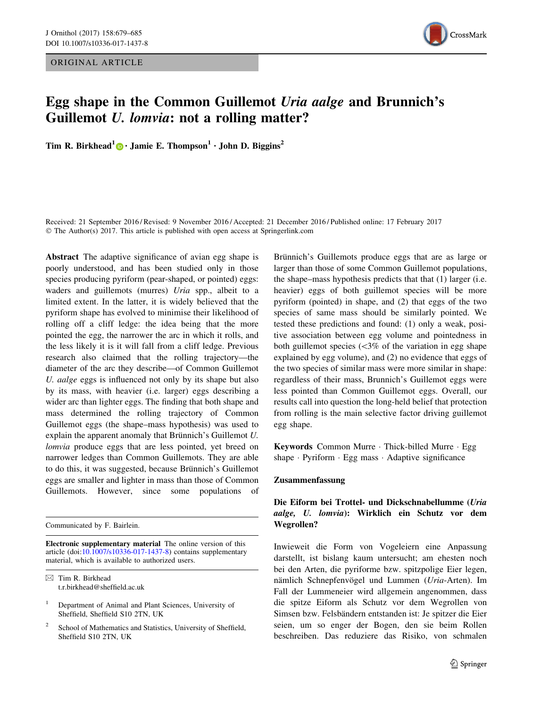ORIGINAL ARTICLE



# Egg shape in the Common Guillemot Uria aalge and Brunnich's Guillemot U. lomvia: not a rolling matter?

Tim R. Birkhead<sup>1</sup> • Jamie E. Thompson<sup>1</sup> • John D. Biggins<sup>2</sup>

Received: 21 September 2016 / Revised: 9 November 2016 / Accepted: 21 December 2016 / Published online: 17 February 2017 © The Author(s) 2017. This article is published with open access at Springerlink.com

Abstract The adaptive significance of avian egg shape is poorly understood, and has been studied only in those species producing pyriform (pear-shaped, or pointed) eggs: waders and guillemots (murres) Uria spp., albeit to a limited extent. In the latter, it is widely believed that the pyriform shape has evolved to minimise their likelihood of rolling off a cliff ledge: the idea being that the more pointed the egg, the narrower the arc in which it rolls, and the less likely it is it will fall from a cliff ledge. Previous research also claimed that the rolling trajectory—the diameter of the arc they describe—of Common Guillemot U. aalge eggs is influenced not only by its shape but also by its mass, with heavier (i.e. larger) eggs describing a wider arc than lighter eggs. The finding that both shape and mass determined the rolling trajectory of Common Guillemot eggs (the shape–mass hypothesis) was used to explain the apparent anomaly that Brünnich's Guillemot  $U$ . lomvia produce eggs that are less pointed, yet breed on narrower ledges than Common Guillemots. They are able to do this, it was suggested, because Brünnich's Guillemot eggs are smaller and lighter in mass than those of Common Guillemots. However, since some populations of

Communicated by F. Bairlein.

Electronic supplementary material The online version of this article (doi:[10.1007/s10336-017-1437-8\)](http://dx.doi.org/10.1007/s10336-017-1437-8) contains supplementary material, which is available to authorized users.

School of Mathematics and Statistics, University of Sheffield, Sheffield S10 2TN, UK

Brünnich's Guillemots produce eggs that are as large or larger than those of some Common Guillemot populations, the shape–mass hypothesis predicts that that (1) larger (i.e. heavier) eggs of both guillemot species will be more pyriform (pointed) in shape, and (2) that eggs of the two species of same mass should be similarly pointed. We tested these predictions and found: (1) only a weak, positive association between egg volume and pointedness in both guillemot species  $\langle \langle 3\% \rangle$  of the variation in egg shape explained by egg volume), and (2) no evidence that eggs of the two species of similar mass were more similar in shape: regardless of their mass, Brunnich's Guillemot eggs were less pointed than Common Guillemot eggs. Overall, our results call into question the long-held belief that protection from rolling is the main selective factor driving guillemot egg shape.

Keywords Common Murre - Thick-billed Murre - Egg shape - Pyriform - Egg mass - Adaptive significance

#### Zusammenfassung

# Die Eiform bei Trottel- und Dickschnabellumme (Uria aalge, U. lomvia): Wirklich ein Schutz vor dem Wegrollen?

Inwieweit die Form von Vogeleiern eine Anpassung darstellt, ist bislang kaum untersucht; am ehesten noch bei den Arten, die pyriforme bzw. spitzpolige Eier legen, nämlich Schnepfenvögel und Lummen (Uria-Arten). Im Fall der Lummeneier wird allgemein angenommen, dass die spitze Eiform als Schutz vor dem Wegrollen von Simsen bzw. Felsbändern entstanden ist: Je spitzer die Eier seien, um so enger der Bogen, den sie beim Rollen beschreiben. Das reduziere das Risiko, von schmalen

 $\boxtimes$  Tim R. Birkhead t.r.birkhead@sheffield.ac.uk

<sup>1</sup> Department of Animal and Plant Sciences, University of Sheffield, Sheffield S10 2TN, UK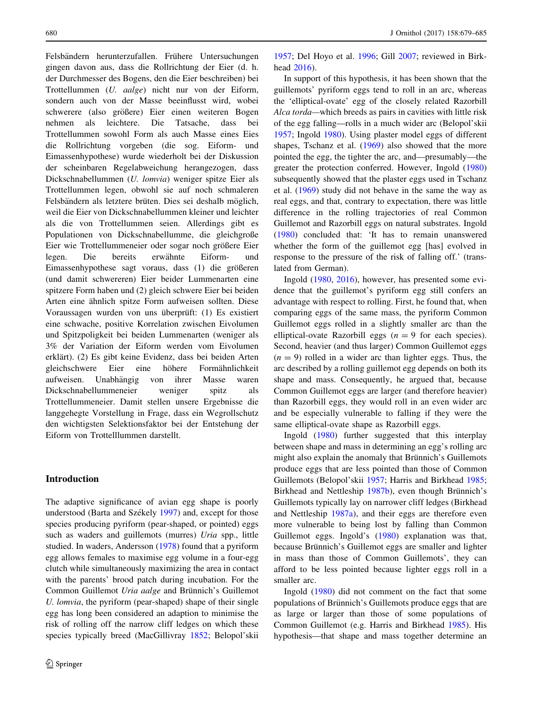Felsbändern herunterzufallen. Frühere Untersuchungen gingen davon aus, dass die Rollrichtung der Eier (d. h. der Durchmesser des Bogens, den die Eier beschreiben) bei Trottellummen (U. aalge) nicht nur von der Eiform, sondern auch von der Masse beeinflusst wird, wobei schwerere (also größere) Eier einen weiteren Bogen nehmen als leichtere. Die Tatsache, dass bei Trottellummen sowohl Form als auch Masse eines Eies die Rollrichtung vorgeben (die sog. Eiform- und Eimassenhypothese) wurde wiederholt bei der Diskussion der scheinbaren Regelabweichung herangezogen, dass Dickschnabellummen (U. lomvia) weniger spitze Eier als Trottellummen legen, obwohl sie auf noch schmaleren Felsbändern als letztere brüten. Dies sei deshalb möglich, weil die Eier von Dickschnabellummen kleiner und leichter als die von Trottellummen seien. Allerdings gibt es Populationen von Dickschnabellumme, die gleichgroße Eier wie Trottellummeneier oder sogar noch größere Eier legen. Die bereits erwähnte Eiform- und Eimassenhypothese sagt voraus, dass (1) die größeren (und damit schwereren) Eier beider Lummenarten eine spitzere Form haben und (2) gleich schwere Eier bei beiden Arten eine ähnlich spitze Form aufweisen sollten. Diese Voraussagen wurden von uns überprüft: (1) Es existiert eine schwache, positive Korrelation zwischen Eivolumen und Spitzpoligkeit bei beiden Lummenarten (weniger als 3% der Variation der Eiform werden vom Eivolumen erklärt). (2) Es gibt keine Evidenz, dass bei beiden Arten gleichschwere Eier eine höhere Formähnlichkeit aufweisen. Unabhängig von ihrer Masse waren Dickschnabellummeneier weniger spitz als Trottellummeneier. Damit stellen unsere Ergebnisse die langgehegte Vorstellung in Frage, dass ein Wegrollschutz den wichtigsten Selektionsfaktor bei der Entstehung der Eiform von Trottelllummen darstellt.

# Introduction

The adaptive significance of avian egg shape is poorly understood (Barta and Székely [1997](#page-5-0)) and, except for those species producing pyriform (pear-shaped, or pointed) eggs such as waders and guillemots (murres) Uria spp., little studied. In waders, Andersson [\(1978](#page-5-0)) found that a pyriform egg allows females to maximise egg volume in a four-egg clutch while simultaneously maximizing the area in contact with the parents' brood patch during incubation. For the Common Guillemot Uria aalge and Brünnich's Guillemot U. lomvia, the pyriform (pear-shaped) shape of their single egg has long been considered an adaption to minimise the risk of rolling off the narrow cliff ledges on which these species typically breed (MacGillivray [1852](#page-6-0); Belopol'skii

[1957](#page-5-0); Del Hoyo et al. [1996;](#page-6-0) Gill [2007](#page-6-0); reviewed in Birkhead [2016](#page-5-0)).

In support of this hypothesis, it has been shown that the guillemots' pyriform eggs tend to roll in an arc, whereas the 'elliptical-ovate' egg of the closely related Razorbill Alca torda—which breeds as pairs in cavities with little risk of the egg falling—rolls in a much wider arc (Belopol'skii [1957](#page-5-0); Ingold [1980\)](#page-6-0). Using plaster model eggs of different shapes, Tschanz et al. ([1969\)](#page-6-0) also showed that the more pointed the egg, the tighter the arc, and—presumably—the greater the protection conferred. However, Ingold ([1980\)](#page-6-0) subsequently showed that the plaster eggs used in Tschanz et al. [\(1969](#page-6-0)) study did not behave in the same the way as real eggs, and that, contrary to expectation, there was little difference in the rolling trajectories of real Common Guillemot and Razorbill eggs on natural substrates. Ingold [\(1980](#page-6-0)) concluded that: 'It has to remain unanswered whether the form of the guillemot egg [has] evolved in response to the pressure of the risk of falling off.' (translated from German).

Ingold [\(1980](#page-6-0), [2016](#page-6-0)), however, has presented some evidence that the guillemot's pyriform egg still confers an advantage with respect to rolling. First, he found that, when comparing eggs of the same mass, the pyriform Common Guillemot eggs rolled in a slightly smaller arc than the elliptical-ovate Razorbill eggs ( $n = 9$  for each species). Second, heavier (and thus larger) Common Guillemot eggs  $(n = 9)$  rolled in a wider arc than lighter eggs. Thus, the arc described by a rolling guillemot egg depends on both its shape and mass. Consequently, he argued that, because Common Guillemot eggs are larger (and therefore heavier) than Razorbill eggs, they would roll in an even wider arc and be especially vulnerable to falling if they were the same elliptical-ovate shape as Razorbill eggs.

Ingold ([1980\)](#page-6-0) further suggested that this interplay between shape and mass in determining an egg's rolling arc might also explain the anomaly that Brünnich's Guillemots produce eggs that are less pointed than those of Common Guillemots (Belopol'skii [1957;](#page-5-0) Harris and Birkhead [1985](#page-6-0); Birkhead and Nettleship [1987b](#page-5-0)), even though Brünnich's Guillemots typically lay on narrower cliff ledges (Birkhead and Nettleship [1987a\)](#page-5-0), and their eggs are therefore even more vulnerable to being lost by falling than Common Guillemot eggs. Ingold's ([1980\)](#page-6-0) explanation was that, because Brünnich's Guillemot eggs are smaller and lighter in mass than those of Common Guillemots', they can afford to be less pointed because lighter eggs roll in a smaller arc.

Ingold [\(1980](#page-6-0)) did not comment on the fact that some populations of Brünnich's Guillemots produce eggs that are as large or larger than those of some populations of Common Guillemot (e.g. Harris and Birkhead [1985\)](#page-6-0). His hypothesis—that shape and mass together determine an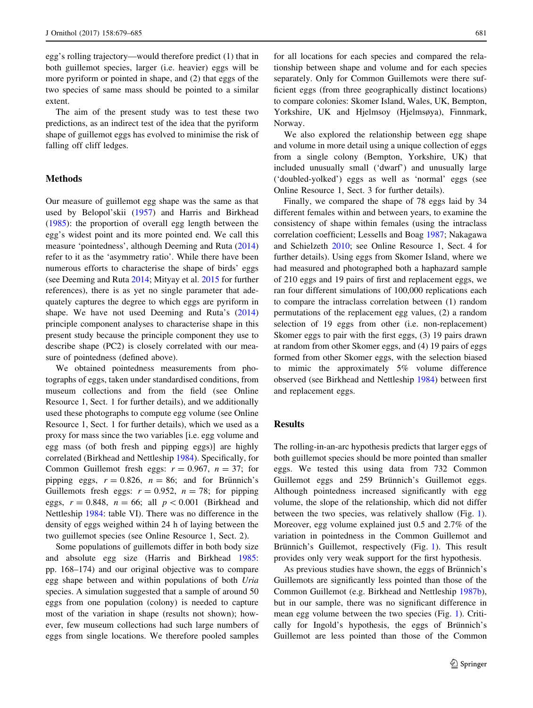<span id="page-2-0"></span>egg's rolling trajectory—would therefore predict (1) that in both guillemot species, larger (i.e. heavier) eggs will be more pyriform or pointed in shape, and (2) that eggs of the two species of same mass should be pointed to a similar extent.

The aim of the present study was to test these two predictions, as an indirect test of the idea that the pyriform shape of guillemot eggs has evolved to minimise the risk of falling off cliff ledges.

#### Methods

Our measure of guillemot egg shape was the same as that used by Belopol'skii ([1957\)](#page-5-0) and Harris and Birkhead [\(1985](#page-6-0)): the proportion of overall egg length between the egg's widest point and its more pointed end. We call this measure 'pointedness', although Deeming and Ruta ([2014\)](#page-6-0) refer to it as the 'asymmetry ratio'. While there have been numerous efforts to characterise the shape of birds' eggs (see Deeming and Ruta [2014;](#page-6-0) Mityay et al. [2015](#page-6-0) for further references), there is as yet no single parameter that adequately captures the degree to which eggs are pyriform in shape. We have not used Deeming and Ruta's ([2014\)](#page-6-0) principle component analyses to characterise shape in this present study because the principle component they use to describe shape (PC2) is closely correlated with our measure of pointedness (defined above).

We obtained pointedness measurements from photographs of eggs, taken under standardised conditions, from museum collections and from the field (see Online Resource 1, Sect. 1 for further details), and we additionally used these photographs to compute egg volume (see Online Resource 1, Sect. 1 for further details), which we used as a proxy for mass since the two variables [i.e. egg volume and egg mass (of both fresh and pipping eggs)] are highly correlated (Birkhead and Nettleship [1984\)](#page-5-0). Specifically, for Common Guillemot fresh eggs:  $r = 0.967$ ,  $n = 37$ ; for pipping eggs,  $r = 0.826$ ,  $n = 86$ ; and for Brünnich's Guillemots fresh eggs:  $r = 0.952$ ,  $n = 78$ ; for pipping eggs,  $r = 0.848$ ,  $n = 66$ ; all  $p < 0.001$  (Birkhead and Nettleship [1984](#page-5-0): table VI). There was no difference in the density of eggs weighed within 24 h of laying between the two guillemot species (see Online Resource 1, Sect. 2).

Some populations of guillemots differ in both body size and absolute egg size (Harris and Birkhead [1985](#page-6-0): pp. 168–174) and our original objective was to compare egg shape between and within populations of both Uria species. A simulation suggested that a sample of around 50 eggs from one population (colony) is needed to capture most of the variation in shape (results not shown); however, few museum collections had such large numbers of eggs from single locations. We therefore pooled samples for all locations for each species and compared the relationship between shape and volume and for each species separately. Only for Common Guillemots were there sufficient eggs (from three geographically distinct locations) to compare colonies: Skomer Island, Wales, UK, Bempton, Yorkshire, UK and Hjelmsoy (Hjelmsøya), Finnmark, Norway.

We also explored the relationship between egg shape and volume in more detail using a unique collection of eggs from a single colony (Bempton, Yorkshire, UK) that included unusually small ('dwarf') and unusually large ('doubled-yolked') eggs as well as 'normal' eggs (see Online Resource 1, Sect. 3 for further details).

Finally, we compared the shape of 78 eggs laid by 34 different females within and between years, to examine the consistency of shape within females (using the intraclass correlation coefficient; Lessells and Boag [1987](#page-6-0); Nakagawa and Schielzeth [2010](#page-6-0); see Online Resource 1, Sect. 4 for further details). Using eggs from Skomer Island, where we had measured and photographed both a haphazard sample of 210 eggs and 19 pairs of first and replacement eggs, we ran four different simulations of 100,000 replications each to compare the intraclass correlation between (1) random permutations of the replacement egg values, (2) a random selection of 19 eggs from other (i.e. non-replacement) Skomer eggs to pair with the first eggs, (3) 19 pairs drawn at random from other Skomer eggs, and (4) 19 pairs of eggs formed from other Skomer eggs, with the selection biased to mimic the approximately 5% volume difference observed (see Birkhead and Nettleship [1984\)](#page-5-0) between first and replacement eggs.

### Results

The rolling-in-an-arc hypothesis predicts that larger eggs of both guillemot species should be more pointed than smaller eggs. We tested this using data from 732 Common Guillemot eggs and 259 Brünnich's Guillemot eggs. Although pointedness increased significantly with egg volume, the slope of the relationship, which did not differ between the two species, was relatively shallow (Fig. [1](#page-3-0)). Moreover, egg volume explained just 0.5 and 2.7% of the variation in pointedness in the Common Guillemot and Brünnich's Guillemot, respectively (Fig. [1\)](#page-3-0). This result provides only very weak support for the first hypothesis.

As previous studies have shown, the eggs of Brünnich's Guillemots are significantly less pointed than those of the Common Guillemot (e.g. Birkhead and Nettleship [1987b](#page-5-0)), but in our sample, there was no significant difference in mean egg volume between the two species (Fig. [1](#page-3-0)). Critically for Ingold's hypothesis, the eggs of Brünnich's Guillemot are less pointed than those of the Common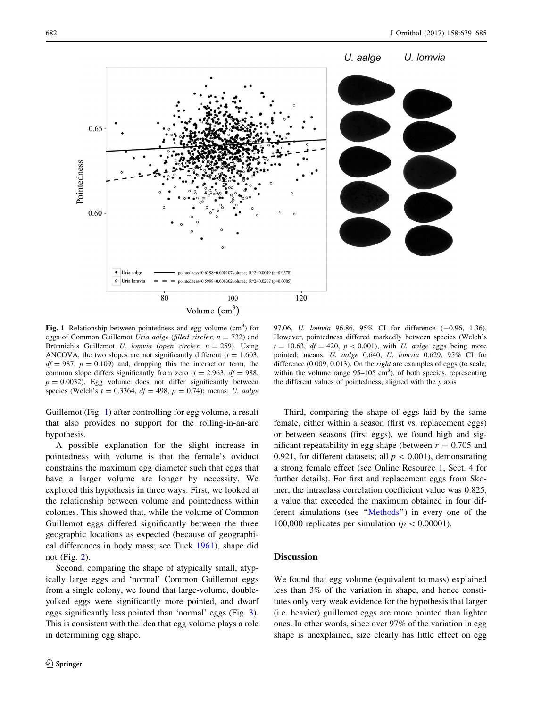U. Iomvia

<span id="page-3-0"></span>

Fig. 1 Relationship between pointedness and egg volume  $(cm<sup>3</sup>)$  for eggs of Common Guillemot Uria aalge (filled circles;  $n = 732$ ) and Brünnich's Guillemot U. lomvia (open circles;  $n = 259$ ). Using ANCOVA, the two slopes are not significantly different ( $t = 1.603$ ,  $df = 987$ ,  $p = 0.109$ ) and, dropping this the interaction term, the common slope differs significantly from zero  $(t = 2.963, df = 988,$  $p = 0.0032$ ). Egg volume does not differ significantly between species (Welch's  $t = 0.3364$ ,  $df = 498$ ,  $p = 0.74$ ); means: *U. aalge* 

Guillemot (Fig. 1) after controlling for egg volume, a result that also provides no support for the rolling-in-an-arc hypothesis.

A possible explanation for the slight increase in pointedness with volume is that the female's oviduct constrains the maximum egg diameter such that eggs that have a larger volume are longer by necessity. We explored this hypothesis in three ways. First, we looked at the relationship between volume and pointedness within colonies. This showed that, while the volume of Common Guillemot eggs differed significantly between the three geographic locations as expected (because of geographical differences in body mass; see Tuck [1961\)](#page-6-0), shape did not (Fig. [2](#page-4-0)).

Second, comparing the shape of atypically small, atypically large eggs and 'normal' Common Guillemot eggs from a single colony, we found that large-volume, doubleyolked eggs were significantly more pointed, and dwarf eggs significantly less pointed than 'normal' eggs (Fig. [3](#page-5-0)). This is consistent with the idea that egg volume plays a role in determining egg shape.

97.06, *U. lomvia* 96.86, 95% CI for difference (-0.96, 1.36). However, pointedness differed markedly between species (Welch's  $t = 10.63$ ,  $df = 420$ ,  $p < 0.001$ ), with U. aalge eggs being more pointed; means: U. aalge 0.640, U. lomvia 0.629, 95% CI for difference (0.009, 0.013). On the right are examples of eggs (to scale, within the volume range  $95-105$  cm<sup>3</sup>), of both species, representing the different values of pointedness, aligned with the y axis

Third, comparing the shape of eggs laid by the same female, either within a season (first vs. replacement eggs) or between seasons (first eggs), we found high and significant repeatability in egg shape (between  $r = 0.705$  and 0.921, for different datasets; all  $p < 0.001$ ), demonstrating a strong female effect (see Online Resource 1, Sect. 4 for further details). For first and replacement eggs from Skomer, the intraclass correlation coefficient value was 0.825, a value that exceeded the maximum obtained in four different simulations (see ''[Methods'](#page-2-0)') in every one of the 100,000 replicates per simulation ( $p<0.00001$ ).

# **Discussion**

We found that egg volume (equivalent to mass) explained less than 3% of the variation in shape, and hence constitutes only very weak evidence for the hypothesis that larger (i.e. heavier) guillemot eggs are more pointed than lighter ones. In other words, since over 97% of the variation in egg shape is unexplained, size clearly has little effect on egg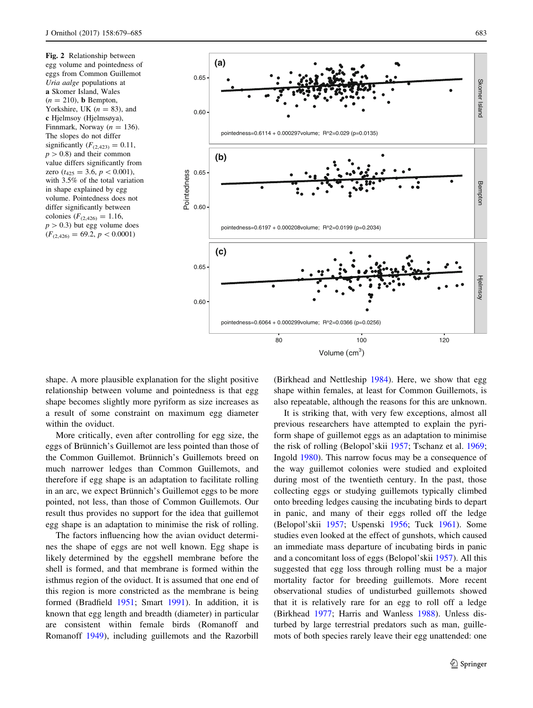<span id="page-4-0"></span>

Volume  $(cm<sup>3</sup>)$ 

shape. A more plausible explanation for the slight positive relationship between volume and pointedness is that egg shape becomes slightly more pyriform as size increases as a result of some constraint on maximum egg diameter within the oviduct.

More critically, even after controlling for egg size, the eggs of Brünnich's Guillemot are less pointed than those of the Common Guillemot. Brünnich's Guillemots breed on much narrower ledges than Common Guillemots, and therefore if egg shape is an adaptation to facilitate rolling in an arc, we expect Brünnich's Guillemot eggs to be more pointed, not less, than those of Common Guillemots. Our result thus provides no support for the idea that guillemot egg shape is an adaptation to minimise the risk of rolling.

The factors influencing how the avian oviduct determines the shape of eggs are not well known. Egg shape is likely determined by the eggshell membrane before the shell is formed, and that membrane is formed within the isthmus region of the oviduct. It is assumed that one end of this region is more constricted as the membrane is being formed (Bradfield [1951;](#page-6-0) Smart [1991](#page-6-0)). In addition, it is known that egg length and breadth (diameter) in particular are consistent within female birds (Romanoff and Romanoff [1949](#page-6-0)), including guillemots and the Razorbill (Birkhead and Nettleship [1984\)](#page-5-0). Here, we show that egg shape within females, at least for Common Guillemots, is also repeatable, although the reasons for this are unknown.

It is striking that, with very few exceptions, almost all previous researchers have attempted to explain the pyriform shape of guillemot eggs as an adaptation to minimise the risk of rolling (Belopol'skii [1957](#page-5-0); Tschanz et al. [1969](#page-6-0); Ingold [1980](#page-6-0)). This narrow focus may be a consequence of the way guillemot colonies were studied and exploited during most of the twentieth century. In the past, those collecting eggs or studying guillemots typically climbed onto breeding ledges causing the incubating birds to depart in panic, and many of their eggs rolled off the ledge (Belopol'skii [1957](#page-5-0); Uspenski [1956;](#page-6-0) Tuck [1961](#page-6-0)). Some studies even looked at the effect of gunshots, which caused an immediate mass departure of incubating birds in panic and a concomitant loss of eggs (Belopol'skii [1957](#page-5-0)). All this suggested that egg loss through rolling must be a major mortality factor for breeding guillemots. More recent observational studies of undisturbed guillemots showed that it is relatively rare for an egg to roll off a ledge (Birkhead [1977;](#page-5-0) Harris and Wanless [1988\)](#page-6-0). Unless disturbed by large terrestrial predators such as man, guillemots of both species rarely leave their egg unattended: one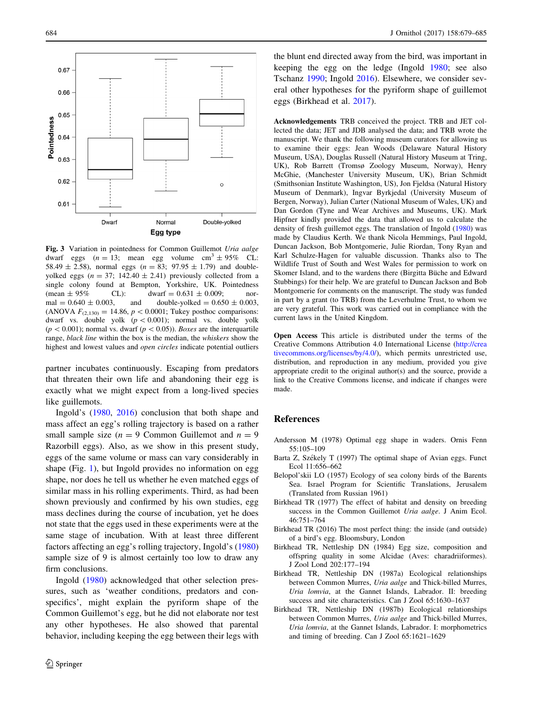<span id="page-5-0"></span>

Fig. 3 Variation in pointedness for Common Guillemot Uria aalge dwarf eggs ( $n = 13$ ; mean egg volume cm<sup>3</sup> ± 95% CL: 58.49  $\pm$  2.58), normal eggs ( $n = 83$ ; 97.95  $\pm$  1.79) and doubleyolked eggs ( $n = 37$ ; 142.40  $\pm$  2.41) previously collected from a single colony found at Bempton, Yorkshire, UK. Pointedness (mean  $\pm 95\%$  CL): dwarf = 0.631  $\pm$  0.009; normal =  $0.640 \pm 0.003$ , and double-yolked =  $0.650 \pm 0.003$ , (ANOVA  $F_{(2,130)} = 14.86$ ,  $p < 0.0001$ ; Tukey posthoc comparisons: dwarf vs. double yolk  $(p < 0.001)$ ; normal vs. double yolk  $(p<0.001)$ ; normal vs. dwarf  $(p<0.05)$ ). Boxes are the interquartile range, black line within the box is the median, the whiskers show the highest and lowest values and open circles indicate potential outliers

partner incubates continuously. Escaping from predators that threaten their own life and abandoning their egg is exactly what we might expect from a long-lived species like guillemots.

Ingold's [\(1980](#page-6-0), [2016](#page-6-0)) conclusion that both shape and mass affect an egg's rolling trajectory is based on a rather small sample size ( $n = 9$  Common Guillemot and  $n = 9$ ) Razorbill eggs). Also, as we show in this present study, eggs of the same volume or mass can vary considerably in shape (Fig. [1\)](#page-3-0), but Ingold provides no information on egg shape, nor does he tell us whether he even matched eggs of similar mass in his rolling experiments. Third, as had been shown previously and confirmed by his own studies, egg mass declines during the course of incubation, yet he does not state that the eggs used in these experiments were at the same stage of incubation. With at least three different factors affecting an egg's rolling trajectory, Ingold's ([1980\)](#page-6-0) sample size of 9 is almost certainly too low to draw any firm conclusions.

Ingold ([1980\)](#page-6-0) acknowledged that other selection pressures, such as 'weather conditions, predators and conspecifics', might explain the pyriform shape of the Common Guillemot's egg, but he did not elaborate nor test any other hypotheses. He also showed that parental behavior, including keeping the egg between their legs with

the blunt end directed away from the bird, was important in keeping the egg on the ledge (Ingold [1980](#page-6-0); see also Tschanz [1990;](#page-6-0) Ingold [2016\)](#page-6-0). Elsewhere, we consider several other hypotheses for the pyriform shape of guillemot eggs (Birkhead et al. [2017\)](#page-6-0).

Acknowledgements TRB conceived the project. TRB and JET collected the data; JET and JDB analysed the data; and TRB wrote the manuscript. We thank the following museum curators for allowing us to examine their eggs: Jean Woods (Delaware Natural History Museum, USA), Douglas Russell (Natural History Museum at Tring, UK), Rob Barrett (Tromsø Zoology Museum, Norway), Henry McGhie, (Manchester University Museum, UK), Brian Schmidt (Smithsonian Institute Washington, US), Jon Fjeldsa (Natural History Museum of Denmark), Ingvar Byrkjedal (University Museum of Bergen, Norway), Julian Carter (National Museum of Wales, UK) and Dan Gordon (Tyne and Wear Archives and Museums, UK). Mark Hipfner kindly provided the data that allowed us to calculate the density of fresh guillemot eggs. The translation of Ingold ([1980\)](#page-6-0) was made by Claudius Kerth. We thank Nicola Hemmings, Paul Ingold, Duncan Jackson, Bob Montgomerie, Julie Riordan, Tony Ryan and Karl Schulze-Hagen for valuable discussion. Thanks also to The Wildlife Trust of South and West Wales for permission to work on Skomer Island, and to the wardens there (Birgitta Büche and Edward Stubbings) for their help. We are grateful to Duncan Jackson and Bob Montgomerie for comments on the manuscript. The study was funded in part by a grant (to TRB) from the Leverhulme Trust, to whom we are very grateful. This work was carried out in compliance with the current laws in the United Kingdom.

Open Access This article is distributed under the terms of the Creative Commons Attribution 4.0 International License ([http://crea](http://creativecommons.org/licenses/by/4.0/) [tivecommons.org/licenses/by/4.0/\)](http://creativecommons.org/licenses/by/4.0/), which permits unrestricted use, distribution, and reproduction in any medium, provided you give appropriate credit to the original author(s) and the source, provide a link to the Creative Commons license, and indicate if changes were made.

# References

- Andersson M (1978) Optimal egg shape in waders. Ornis Fenn 55:105–109
- Barta Z, Székely T (1997) The optimal shape of Avian eggs. Funct Ecol 11:656–662
- Belopol'skii LO (1957) Ecology of sea colony birds of the Barents Sea. Israel Program for Scientific Translations, Jerusalem (Translated from Russian 1961)
- Birkhead TR (1977) The effect of habitat and density on breeding success in the Common Guillemot Uria aalge. J Anim Ecol. 46:751–764
- Birkhead TR (2016) The most perfect thing: the inside (and outside) of a bird's egg. Bloomsbury, London
- Birkhead TR, Nettleship DN (1984) Egg size, composition and offspring quality in some Alcidae (Aves: charadriiformes). J Zool Lond 202:177–194
- Birkhead TR, Nettleship DN (1987a) Ecological relationships between Common Murres, Uria aalge and Thick-billed Murres, Uria lomvia, at the Gannet Islands, Labrador. II: breeding success and site characteristics. Can J Zool 65:1630–1637
- Birkhead TR, Nettleship DN (1987b) Ecological relationships between Common Murres, Uria aalge and Thick-billed Murres, Uria lomvia, at the Gannet Islands, Labrador. I: morphometrics and timing of breeding. Can J Zool 65:1621–1629